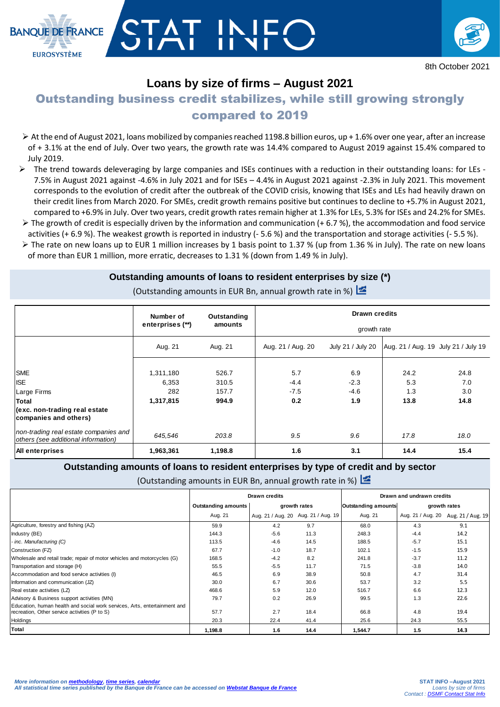

## **Loans by size of firms – August 2021**

**BANOUE DE ERANCE** 

**EUROSYSTÈME** 

# Outstanding business credit stabilizes, while still growing strongly

## compared to 2019

- At the end of August 2021, loans mobilized by companies reached 1198.8 billion euros, up + 1.6% over one year, after an increase of + 3.1% at the end of July. Over two years, the growth rate was 14.4% compared to August 2019 against 15.4% compared to July 2019.
- The trend towards deleveraging by large companies and ISEs continues with a reduction in their outstanding loans: for LEs 7.5% in August 2021 against -4.6% in July 2021 and for ISEs – 4.4% in August 2021 against -2.3% in July 2021. This movement corresponds to the evolution of credit after the outbreak of the COVID crisis, knowing that ISEs and LEs had heavily drawn on their credit lines from March 2020. For SMEs, credit growth remains positive but continues to decline to +5.7% in August 2021, compared to +6.9% in July. Over two years, credit growth rates remain higher at 1.3% for LEs, 5.3% for ISEs and 24.2% for SMEs.
- $\triangleright$  The growth of credit is especially driven by the information and communication (+6.7%), the accommodation and food service activities (+ 6.9 %). The weakest growth is reported in industry (- 5.6 %) and the transportation and storage activities (- 5.5 %).
- $\triangleright$  The rate on new loans up to EUR 1 million increases by 1 basis point to 1.37 % (up from 1.36 % in July). The rate on new loans of more than EUR 1 million, more erratic, decreases to 1.31 % (down from 1.49 % in July).

### **Outstanding amounts of loans to resident enterprises by size (\*)**

(Outstanding amounts in EUR Bn, annual growth rate in %)

|                                                                              | Number of          | Outstanding    | <b>Drawn credits</b> |                   |             |                                     |  |  |  |  |
|------------------------------------------------------------------------------|--------------------|----------------|----------------------|-------------------|-------------|-------------------------------------|--|--|--|--|
|                                                                              | enterprises (**)   | amounts        | growth rate          |                   |             |                                     |  |  |  |  |
|                                                                              | Aug. 21            | Aug. 21        | Aug. 21 / Aug. 20    | July 21 / July 20 |             | Aug. 21 / Aug. 19 July 21 / July 19 |  |  |  |  |
| <b>SME</b><br><b>ISE</b>                                                     | 1,311,180<br>6,353 | 526.7<br>310.5 | 5.7<br>$-4.4$        | 6.9<br>$-2.3$     | 24.2<br>5.3 | 24.8<br>7.0                         |  |  |  |  |
| Large Firms<br><b>Total</b>                                                  | 282<br>1,317,815   | 157.7<br>994.9 | $-7.5$<br>0.2        | $-4.6$<br>1.9     | 1.3<br>13.8 | 3.0<br>14.8                         |  |  |  |  |
| (exc. non-trading real estate<br>companies and others)                       |                    |                |                      |                   |             |                                     |  |  |  |  |
| non-trading real estate companies and<br>others (see additional information) | 645,546            | 203.8          | 9.5                  | 9.6               | 17.8        | 18.0                                |  |  |  |  |
| <b>All enterprises</b>                                                       | 1,963,361          | 1,198.8        | 1.6                  | 3.1               | 14.4        | 15.4                                |  |  |  |  |

### **Outstanding amounts of loans to resident enterprises by type of credit and by sector**

(Outstanding amounts in EUR Bn, annual growth rate in %)

|                                                                           |                                            | Drawn credits |                                     | Drawn and undrawn credits |        |                                     |  |
|---------------------------------------------------------------------------|--------------------------------------------|---------------|-------------------------------------|---------------------------|--------|-------------------------------------|--|
|                                                                           | <b>Outstanding amounts</b><br>growth rates |               | <b>Outstanding amounts</b>          | growth rates              |        |                                     |  |
|                                                                           | Aug. 21                                    |               | Aug. 21 / Aug. 20 Aug. 21 / Aug. 19 | Aug. 21                   |        | Aug. 21 / Aug. 20 Aug. 21 / Aug. 19 |  |
| Agriculture, forestry and fishing (AZ)                                    | 59.9                                       | 4.2           | 9.7                                 | 68.0                      | 4.3    | 9.1                                 |  |
| Industry (BE)                                                             | 144.3                                      | $-5.6$        | 11.3                                | 248.3                     | $-4.4$ | 14.2                                |  |
| - inc. Manufacturing (C)                                                  | 113.5                                      | $-4.6$        | 14.5                                | 188.5                     | $-5.7$ | 15.1                                |  |
| Construction (FZ)                                                         | 67.7                                       | $-1.0$        | 18.7                                | 102.1                     | $-1.5$ | 15.9                                |  |
| Wholesale and retail trade; repair of motor vehicles and motorcycles (G)  | 168.5                                      | $-4.2$        | 8.2                                 | 241.8                     | $-3.7$ | 11.2                                |  |
| Transportation and storage (H)                                            | 55.5                                       | $-5.5$        | 11.7                                | 71.5                      | $-3.8$ | 14.0                                |  |
| Accommodation and food service activities (I)                             | 46.5                                       | 6.9           | 38.9                                | 50.8                      | 4.7    | 31.4                                |  |
| Information and communication (JZ)                                        | 30.0                                       | 6.7           | 30.6                                | 53.7                      | 3.2    | 5.5                                 |  |
| Real estate activities (LZ)                                               | 468.6                                      | 5.9           | 12.0                                | 516.7                     | 6.6    | 12.3                                |  |
| Advisory & Business support activities (MN)                               | 79.7                                       | 0.2           | 26.9                                | 99.5                      | 1.3    | 22.6                                |  |
| Education, human health and social work services, Arts, entertainment and |                                            |               |                                     |                           |        |                                     |  |
| recreation, Other service activities (P to S)                             | 57.7                                       | 2.7           | 18.4                                | 66.8                      | 4.8    | 19.4                                |  |
| Holdings                                                                  | 20.3                                       | 22.4          | 41.4                                | 25.6                      | 24.3   | 55.5                                |  |
| Total                                                                     | 1,198.8                                    | 1.6           | 14.4                                | 1,544.7                   | 1.5    | 14.3                                |  |